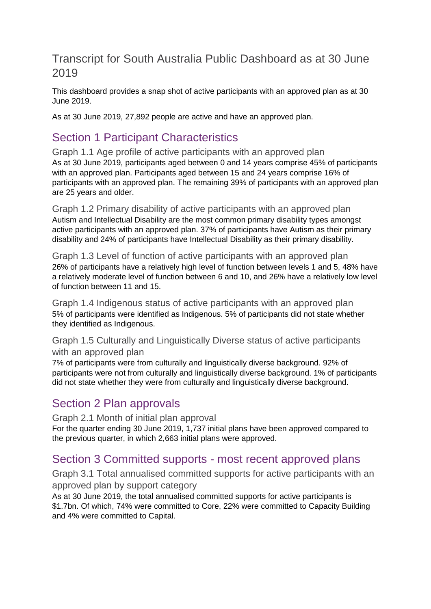#### Transcript for South Australia Public Dashboard as at 30 June 2019

This dashboard provides a snap shot of active participants with an approved plan as at 30 June 2019.

As at 30 June 2019, 27,892 people are active and have an approved plan.

# Section 1 Participant Characteristics

Graph 1.1 Age profile of active participants with an approved plan As at 30 June 2019, participants aged between 0 and 14 years comprise 45% of participants with an approved plan. Participants aged between 15 and 24 years comprise 16% of participants with an approved plan. The remaining 39% of participants with an approved plan are 25 years and older.

Graph 1.2 Primary disability of active participants with an approved plan Autism and Intellectual Disability are the most common primary disability types amongst active participants with an approved plan. 37% of participants have Autism as their primary disability and 24% of participants have Intellectual Disability as their primary disability.

Graph 1.3 Level of function of active participants with an approved plan 26% of participants have a relatively high level of function between levels 1 and 5, 48% have a relatively moderate level of function between 6 and 10, and 26% have a relatively low level of function between 11 and 15.

Graph 1.4 Indigenous status of active participants with an approved plan 5% of participants were identified as Indigenous. 5% of participants did not state whether they identified as Indigenous.

#### Graph 1.5 Culturally and Linguistically Diverse status of active participants with an approved plan

7% of participants were from culturally and linguistically diverse background. 92% of participants were not from culturally and linguistically diverse background. 1% of participants did not state whether they were from culturally and linguistically diverse background.

### Section 2 Plan approvals

Graph 2.1 Month of initial plan approval For the quarter ending 30 June 2019, 1,737 initial plans have been approved compared to the previous quarter, in which 2,663 initial plans were approved.

### Section 3 Committed supports - most recent approved plans

Graph 3.1 Total annualised committed supports for active participants with an approved plan by support category

As at 30 June 2019, the total annualised committed supports for active participants is \$1.7bn. Of which, 74% were committed to Core, 22% were committed to Capacity Building and 4% were committed to Capital.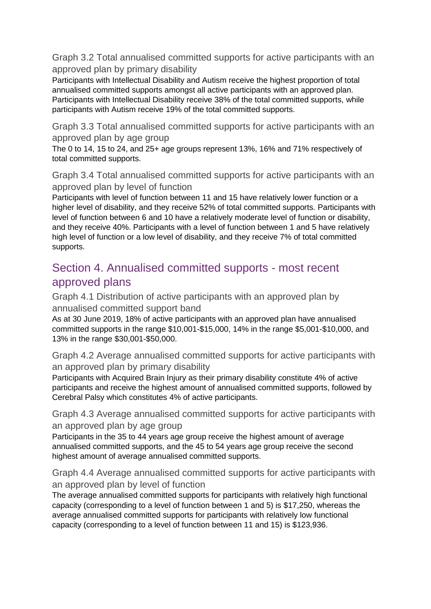Graph 3.2 Total annualised committed supports for active participants with an approved plan by primary disability

Participants with Intellectual Disability and Autism receive the highest proportion of total annualised committed supports amongst all active participants with an approved plan. Participants with Intellectual Disability receive 38% of the total committed supports, while participants with Autism receive 19% of the total committed supports.

Graph 3.3 Total annualised committed supports for active participants with an approved plan by age group

The 0 to 14, 15 to 24, and 25+ age groups represent 13%, 16% and 71% respectively of total committed supports.

Graph 3.4 Total annualised committed supports for active participants with an approved plan by level of function

Participants with level of function between 11 and 15 have relatively lower function or a higher level of disability, and they receive 52% of total committed supports. Participants with level of function between 6 and 10 have a relatively moderate level of function or disability, and they receive 40%. Participants with a level of function between 1 and 5 have relatively high level of function or a low level of disability, and they receive 7% of total committed supports.

# Section 4. Annualised committed supports - most recent approved plans

Graph 4.1 Distribution of active participants with an approved plan by annualised committed support band

As at 30 June 2019, 18% of active participants with an approved plan have annualised committed supports in the range \$10,001-\$15,000, 14% in the range \$5,001-\$10,000, and 13% in the range \$30,001-\$50,000.

Graph 4.2 Average annualised committed supports for active participants with an approved plan by primary disability

Participants with Acquired Brain Injury as their primary disability constitute 4% of active participants and receive the highest amount of annualised committed supports, followed by Cerebral Palsy which constitutes 4% of active participants.

Graph 4.3 Average annualised committed supports for active participants with an approved plan by age group

Participants in the 35 to 44 years age group receive the highest amount of average annualised committed supports, and the 45 to 54 years age group receive the second highest amount of average annualised committed supports.

Graph 4.4 Average annualised committed supports for active participants with an approved plan by level of function

The average annualised committed supports for participants with relatively high functional capacity (corresponding to a level of function between 1 and 5) is \$17,250, whereas the average annualised committed supports for participants with relatively low functional capacity (corresponding to a level of function between 11 and 15) is \$123,936.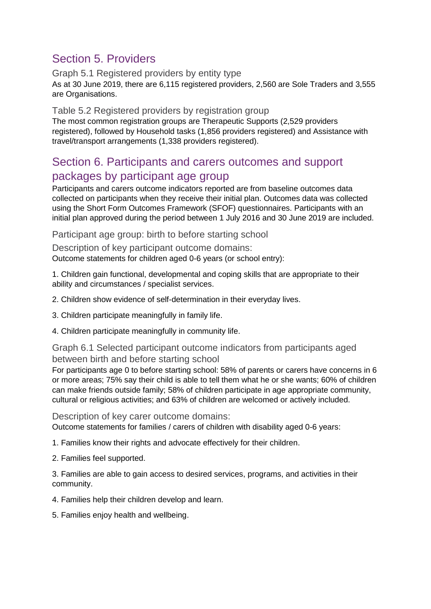# Section 5. Providers

#### Graph 5.1 Registered providers by entity type As at 30 June 2019, there are 6,115 registered providers, 2,560 are Sole Traders and 3,555 are Organisations.

#### Table 5.2 Registered providers by registration group

The most common registration groups are Therapeutic Supports (2,529 providers registered), followed by Household tasks (1,856 providers registered) and Assistance with travel/transport arrangements (1,338 providers registered).

#### Section 6. Participants and carers outcomes and support packages by participant age group

Participants and carers outcome indicators reported are from baseline outcomes data collected on participants when they receive their initial plan. Outcomes data was collected using the Short Form Outcomes Framework (SFOF) questionnaires. Participants with an initial plan approved during the period between 1 July 2016 and 30 June 2019 are included.

Participant age group: birth to before starting school

Description of key participant outcome domains: Outcome statements for children aged 0-6 years (or school entry):

1. Children gain functional, developmental and coping skills that are appropriate to their ability and circumstances / specialist services.

2. Children show evidence of self-determination in their everyday lives.

3. Children participate meaningfully in family life.

4. Children participate meaningfully in community life.

Graph 6.1 Selected participant outcome indicators from participants aged between birth and before starting school

For participants age 0 to before starting school: 58% of parents or carers have concerns in 6 or more areas; 75% say their child is able to tell them what he or she wants; 60% of children can make friends outside family; 58% of children participate in age appropriate community, cultural or religious activities; and 63% of children are welcomed or actively included.

Description of key carer outcome domains:

Outcome statements for families / carers of children with disability aged 0-6 years:

1. Families know their rights and advocate effectively for their children.

2. Families feel supported.

3. Families are able to gain access to desired services, programs, and activities in their community.

4. Families help their children develop and learn.

5. Families enjoy health and wellbeing.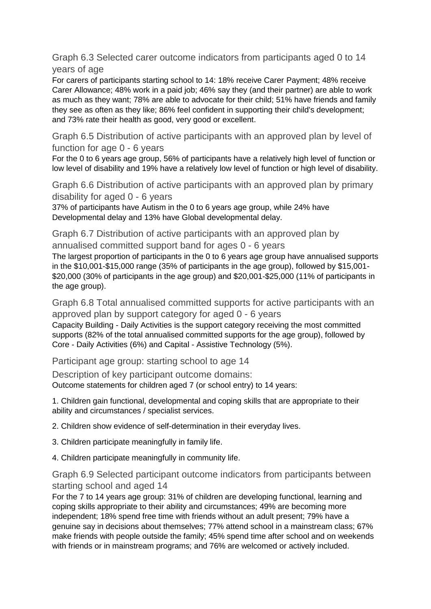Graph 6.3 Selected carer outcome indicators from participants aged 0 to 14 years of age

For carers of participants starting school to 14: 18% receive Carer Payment; 48% receive Carer Allowance; 48% work in a paid job; 46% say they (and their partner) are able to work as much as they want; 78% are able to advocate for their child; 51% have friends and family they see as often as they like; 86% feel confident in supporting their child's development; and 73% rate their health as good, very good or excellent.

Graph 6.5 Distribution of active participants with an approved plan by level of function for age 0 - 6 years

For the 0 to 6 years age group, 56% of participants have a relatively high level of function or low level of disability and 19% have a relatively low level of function or high level of disability.

Graph 6.6 Distribution of active participants with an approved plan by primary disability for aged 0 - 6 years

37% of participants have Autism in the 0 to 6 years age group, while 24% have Developmental delay and 13% have Global developmental delay.

Graph 6.7 Distribution of active participants with an approved plan by annualised committed support band for ages 0 - 6 years

The largest proportion of participants in the 0 to 6 years age group have annualised supports in the \$10,001-\$15,000 range (35% of participants in the age group), followed by \$15,001- \$20,000 (30% of participants in the age group) and \$20,001-\$25,000 (11% of participants in the age group).

Graph 6.8 Total annualised committed supports for active participants with an approved plan by support category for aged 0 - 6 years Capacity Building - Daily Activities is the support category receiving the most committed

supports (82% of the total annualised committed supports for the age group), followed by Core - Daily Activities (6%) and Capital - Assistive Technology (5%).

Participant age group: starting school to age 14

Description of key participant outcome domains: Outcome statements for children aged 7 (or school entry) to 14 years:

1. Children gain functional, developmental and coping skills that are appropriate to their ability and circumstances / specialist services.

2. Children show evidence of self-determination in their everyday lives.

3. Children participate meaningfully in family life.

4. Children participate meaningfully in community life.

#### Graph 6.9 Selected participant outcome indicators from participants between starting school and aged 14

For the 7 to 14 years age group: 31% of children are developing functional, learning and coping skills appropriate to their ability and circumstances; 49% are becoming more independent; 18% spend free time with friends without an adult present; 79% have a genuine say in decisions about themselves; 77% attend school in a mainstream class; 67% make friends with people outside the family; 45% spend time after school and on weekends with friends or in mainstream programs; and 76% are welcomed or actively included.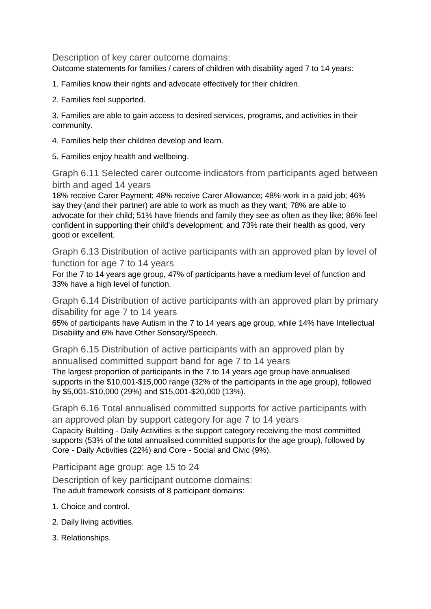Description of key carer outcome domains:

Outcome statements for families / carers of children with disability aged 7 to 14 years:

1. Families know their rights and advocate effectively for their children.

2. Families feel supported.

3. Families are able to gain access to desired services, programs, and activities in their community.

4. Families help their children develop and learn.

5. Families enjoy health and wellbeing.

Graph 6.11 Selected carer outcome indicators from participants aged between birth and aged 14 years

18% receive Carer Payment; 48% receive Carer Allowance; 48% work in a paid job; 46% say they (and their partner) are able to work as much as they want; 78% are able to advocate for their child; 51% have friends and family they see as often as they like; 86% feel confident in supporting their child's development; and 73% rate their health as good, very good or excellent.

Graph 6.13 Distribution of active participants with an approved plan by level of function for age 7 to 14 years

For the 7 to 14 years age group, 47% of participants have a medium level of function and 33% have a high level of function.

Graph 6.14 Distribution of active participants with an approved plan by primary disability for age 7 to 14 years

65% of participants have Autism in the 7 to 14 years age group, while 14% have Intellectual Disability and 6% have Other Sensory/Speech.

Graph 6.15 Distribution of active participants with an approved plan by annualised committed support band for age 7 to 14 years The largest proportion of participants in the 7 to 14 years age group have annualised supports in the \$10,001-\$15,000 range (32% of the participants in the age group), followed by \$5,001-\$10,000 (29%) and \$15,001-\$20,000 (13%).

Graph 6.16 Total annualised committed supports for active participants with an approved plan by support category for age 7 to 14 years Capacity Building - Daily Activities is the support category receiving the most committed supports (53% of the total annualised committed supports for the age group), followed by Core - Daily Activities (22%) and Core - Social and Civic (9%).

Participant age group: age 15 to 24

Description of key participant outcome domains: The adult framework consists of 8 participant domains:

- 1. Choice and control.
- 2. Daily living activities.
- 3. Relationships.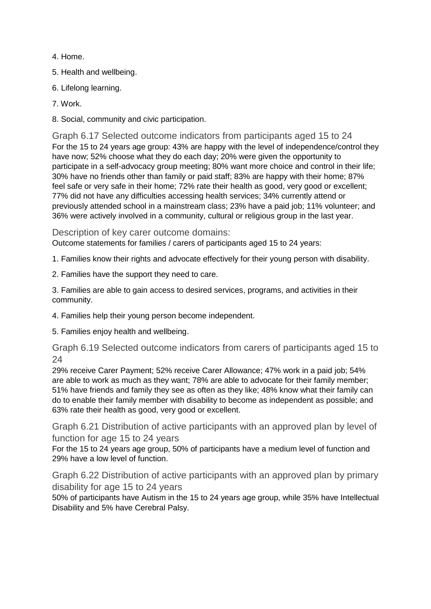- 4. Home.
- 5. Health and wellbeing.
- 6. Lifelong learning.
- 7. Work.
- 8. Social, community and civic participation.

Graph 6.17 Selected outcome indicators from participants aged 15 to 24 For the 15 to 24 years age group: 43% are happy with the level of independence/control they have now; 52% choose what they do each day; 20% were given the opportunity to participate in a self-advocacy group meeting; 80% want more choice and control in their life; 30% have no friends other than family or paid staff; 83% are happy with their home; 87% feel safe or very safe in their home; 72% rate their health as good, very good or excellent; 77% did not have any difficulties accessing health services; 34% currently attend or previously attended school in a mainstream class; 23% have a paid job; 11% volunteer; and 36% were actively involved in a community, cultural or religious group in the last year.

Description of key carer outcome domains:

Outcome statements for families / carers of participants aged 15 to 24 years:

- 1. Families know their rights and advocate effectively for their young person with disability.
- 2. Families have the support they need to care.

3. Families are able to gain access to desired services, programs, and activities in their community.

- 4. Families help their young person become independent.
- 5. Families enjoy health and wellbeing.

Graph 6.19 Selected outcome indicators from carers of participants aged 15 to 24

29% receive Carer Payment; 52% receive Carer Allowance; 47% work in a paid job; 54% are able to work as much as they want; 78% are able to advocate for their family member; 51% have friends and family they see as often as they like; 48% know what their family can do to enable their family member with disability to become as independent as possible; and 63% rate their health as good, very good or excellent.

Graph 6.21 Distribution of active participants with an approved plan by level of function for age 15 to 24 years

For the 15 to 24 years age group, 50% of participants have a medium level of function and 29% have a low level of function.

Graph 6.22 Distribution of active participants with an approved plan by primary disability for age 15 to 24 years

50% of participants have Autism in the 15 to 24 years age group, while 35% have Intellectual Disability and 5% have Cerebral Palsy.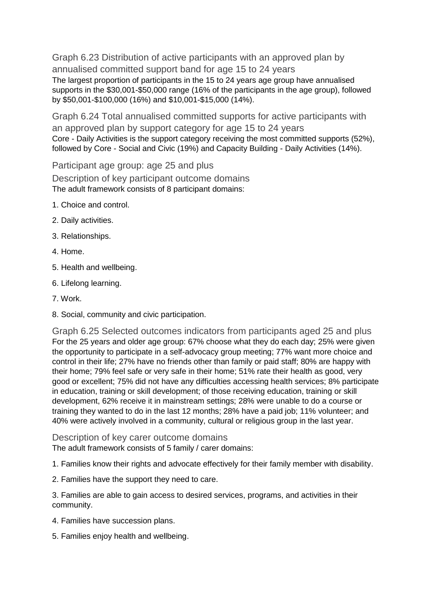Graph 6.23 Distribution of active participants with an approved plan by annualised committed support band for age 15 to 24 years The largest proportion of participants in the 15 to 24 years age group have annualised supports in the \$30,001-\$50,000 range (16% of the participants in the age group), followed by \$50,001-\$100,000 (16%) and \$10,001-\$15,000 (14%).

Graph 6.24 Total annualised committed supports for active participants with an approved plan by support category for age 15 to 24 years Core - Daily Activities is the support category receiving the most committed supports (52%), followed by Core - Social and Civic (19%) and Capacity Building - Daily Activities (14%).

Participant age group: age 25 and plus

Description of key participant outcome domains The adult framework consists of 8 participant domains:

- 1. Choice and control.
- 2. Daily activities.
- 3. Relationships.
- 4. Home.
- 5. Health and wellbeing.
- 6. Lifelong learning.
- 7. Work.
- 8. Social, community and civic participation.

Graph 6.25 Selected outcomes indicators from participants aged 25 and plus For the 25 years and older age group: 67% choose what they do each day; 25% were given the opportunity to participate in a self-advocacy group meeting; 77% want more choice and control in their life; 27% have no friends other than family or paid staff; 80% are happy with their home; 79% feel safe or very safe in their home; 51% rate their health as good, very good or excellent; 75% did not have any difficulties accessing health services; 8% participate in education, training or skill development; of those receiving education, training or skill development, 62% receive it in mainstream settings; 28% were unable to do a course or training they wanted to do in the last 12 months; 28% have a paid job; 11% volunteer; and 40% were actively involved in a community, cultural or religious group in the last year.

Description of key carer outcome domains

The adult framework consists of 5 family / carer domains:

1. Families know their rights and advocate effectively for their family member with disability.

2. Families have the support they need to care.

3. Families are able to gain access to desired services, programs, and activities in their community.

- 4. Families have succession plans.
- 5. Families enjoy health and wellbeing.